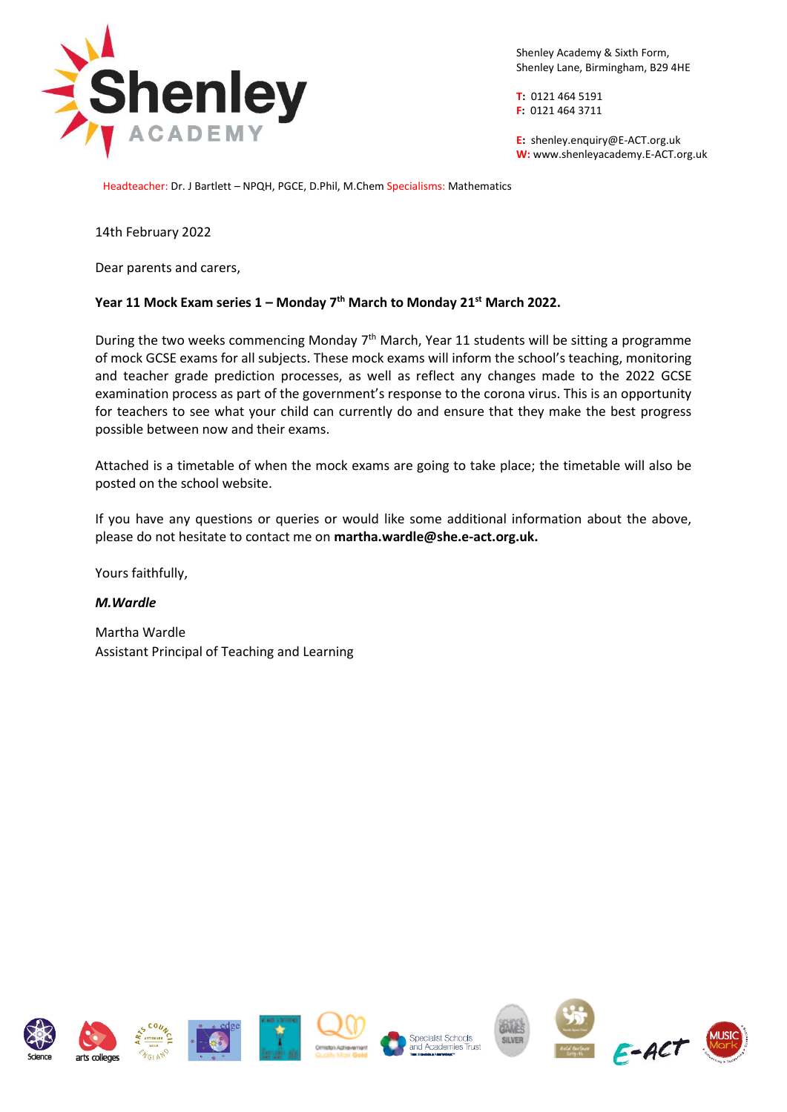

Shenley Academy & Sixth Form, Shenley Lane, Birmingham, B29 4HE

**T:** 0121 464 5191 **F:** 0121 464 3711

**E:** shenley[.enquiry@E-ACT.org.uk](mailto:enquiry@E-ACT.org.uk) **W:** www.shenleyacademy.E-ACT.org.uk

Headteacher: Dr. J Bartlett – NPQH, PGCE, D.Phil, M.Chem Specialisms: Mathematics

14th February 2022

Dear parents and carers,

## **Year 11 Mock Exam series 1 – Monday 7th March to Monday 21st March 2022.**

During the two weeks commencing Monday 7<sup>th</sup> March, Year 11 students will be sitting a programme of mock GCSE exams for all subjects. These mock exams will inform the school's teaching, monitoring and teacher grade prediction processes, as well as reflect any changes made to the 2022 GCSE examination process as part of the government's response to the corona virus. This is an opportunity for teachers to see what your child can currently do and ensure that they make the best progress possible between now and their exams.

Attached is a timetable of when the mock exams are going to take place; the timetable will also be posted on the school website.

If you have any questions or queries or would like some additional information about the above, please do not hesitate to contact me on **martha.wardle@she.e-act.org.uk.**

Yours faithfully,

## *M.Wardle*

Martha Wardle Assistant Principal of Teaching and Learning